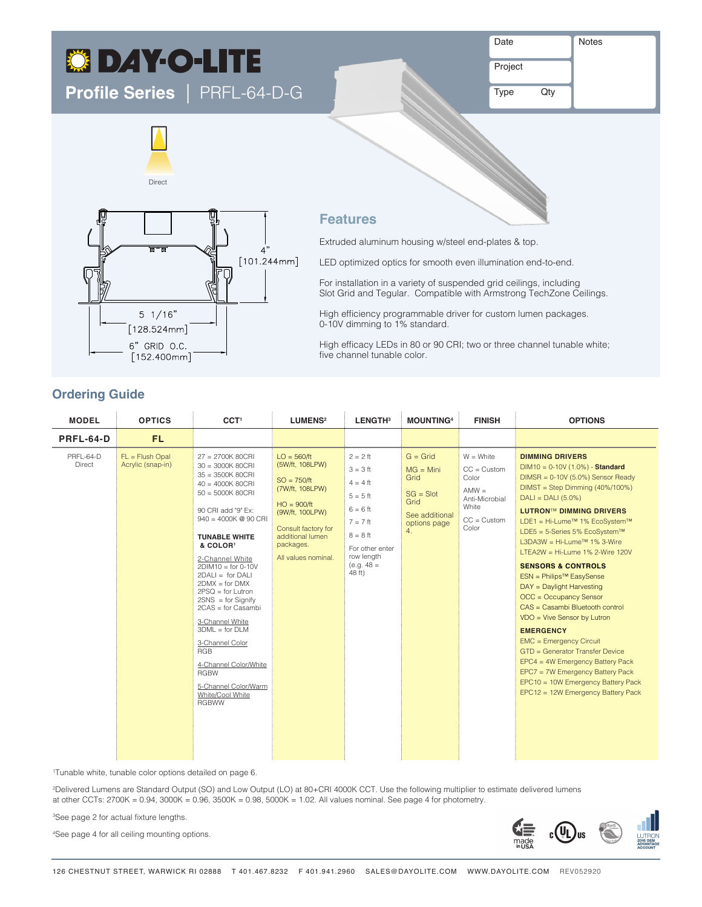# **C DAY-O-LITE DISTRIBUTION**

**Profile Series** |PRFL-64-D-G

Project

Type Qty

Notes





## **Features**

direct / Indirect / Indirect / Indirect / Indirect / Indirect / Indirect / Indirect / Indirect / Indirect / In

Extruded aluminum housing w/steel end-plates & top.

Indirect Asymmetric / In Indirect Asymmetric / Out

LED optimized optics for smooth even illumination end-to-end.

For installation in a variety of suspended grid ceilings, including Slot Grid and Tegular. Compatible with Armstrong TechZone Ceilings.

High efficiency programmable driver for custom lumen packages. 0-10V dimming to 1% standard.

High efficacy LEDs in 80 or 90 CRI; two or three channel tunable white; five channel tunable color.

## **Ordering Guide**

| <b>MODEL</b>               | <b>OPTICS</b>                          | CCT <sup>1</sup>                                                                                                                                                                                                                                                                                                                                                                                                                                                                                                                                    | <b>LUMENS<sup>2</sup></b>                                                                                                                                                               | LENGTH <sup>3</sup>                                                                                                                                       | <b>MOUNTING4</b>                                                                                 | <b>FINISH</b>                                                                                             | <b>OPTIONS</b>                                                                                                                                                                                                                                                                                                                                                                                                                                                                                                                                                                                                                                                                                                                                                                                            |
|----------------------------|----------------------------------------|-----------------------------------------------------------------------------------------------------------------------------------------------------------------------------------------------------------------------------------------------------------------------------------------------------------------------------------------------------------------------------------------------------------------------------------------------------------------------------------------------------------------------------------------------------|-----------------------------------------------------------------------------------------------------------------------------------------------------------------------------------------|-----------------------------------------------------------------------------------------------------------------------------------------------------------|--------------------------------------------------------------------------------------------------|-----------------------------------------------------------------------------------------------------------|-----------------------------------------------------------------------------------------------------------------------------------------------------------------------------------------------------------------------------------------------------------------------------------------------------------------------------------------------------------------------------------------------------------------------------------------------------------------------------------------------------------------------------------------------------------------------------------------------------------------------------------------------------------------------------------------------------------------------------------------------------------------------------------------------------------|
| PRFL-64-D                  | <b>FL</b>                              |                                                                                                                                                                                                                                                                                                                                                                                                                                                                                                                                                     |                                                                                                                                                                                         |                                                                                                                                                           |                                                                                                  |                                                                                                           |                                                                                                                                                                                                                                                                                                                                                                                                                                                                                                                                                                                                                                                                                                                                                                                                           |
| PRFL-64-D<br><b>Direct</b> | $FL = Fluxh$ Opal<br>Acrylic (snap-in) | $27 = 2700K 80CRI$<br>$30 = 3000K 80CRI$<br>$35 = 3500K 80CRI$<br>$40 = 4000K 80CRI$<br>$50 = 5000K 80CRI$<br>90 CRI add "9" Ex:<br>$940 = 4000K$ @ 90 CRI<br><b>TUNABLE WHITE</b><br>& COLOR <sup>1</sup><br>2-Channel White<br>$2DIM10 = for 0-10V$<br>$2DALI = for DALI$<br>$2$ DMX = for DMX<br>$2PSQ = for Lutron$<br>$2SNS = for Signify$<br>$2CAS = for Casambi$<br>3-Channel White<br>$3DML = for DLM$<br>3-Channel Color<br><b>RGB</b><br>4-Channel Color/White<br><b>RGBW</b><br>5-Channel Color/Warm<br>White/Cool White<br><b>RGBWW</b> | $LO = 560/ft$<br>(5W/ft, 108LPW)<br>$SO = 750/ft$<br>(7W/ft, 108LPW)<br>$HO = 900/ft$<br>(9W/ft, 100LPW)<br>Consult factory for<br>additional lumen<br>packages.<br>All values nominal. | $2 = 2$ ft<br>$3 = 3$ ft<br>$4 = 4$ ft<br>$5 = 5$ ft<br>$6 = 6$ ft<br>$7 = 7$ ft<br>$8 = 8$ ft<br>For other enter<br>row length<br>$(e.g. 48 =$<br>48 ft) | $G =$ Grid<br>$MG = Mini$<br>Grid<br>$SG = Slot$<br>Grid<br>See additional<br>options page<br>4. | $W = White$<br>$CC = Customer$<br>Color<br>$AMW =$<br>Anti-Microbial<br>White<br>$CC = Customer$<br>Color | <b>DIMMING DRIVERS</b><br>$DIM10 = 0-10V (1.0%) - Standard$<br>$DIMSR = 0-10V (5.0%)$ Sensor Ready<br>$DIMST = Step Dimming (40\%/100\%)$<br>$DALI = DALI (5.0%)$<br><b>LUTRON™ DIMMING DRIVERS</b><br>LDE1 = Hi-Lume™ 1% EcoSystem™<br>LDE5 = 5-Series 5% EcoSystem™<br>L3DA3W = Hi-Lume <sup>™</sup> 1% 3-Wire<br>LTEA2W = Hi-Lume $1\%$ 2-Wire $120V$<br><b>SENSORS &amp; CONTROLS</b><br>ESN = Philips <sup>™</sup> EasySense<br>DAY = Daylight Harvesting<br>OCC = Occupancy Sensor<br>CAS = Casambi Bluetooth control<br>$VDO = Vive Sensor by Lutron$<br><b>EMERGENCY</b><br><b>EMC</b> = Emergency Circuit<br>GTD = Generator Transfer Device<br>EPC4 = 4W Emergency Battery Pack<br>EPC7 = 7W Emergency Battery Pack<br>EPC10 = 10W Emergency Battery Pack<br>EPC12 = 12W Emergency Battery Pack |

1 Tunable white, tunable color options detailed on page 6.

2 Delivered Lumens are Standard Output (SO) and Low Output (LO) at 80+CRI 4000K CCT. Use the following multiplier to estimate delivered lumens at other CCTs: 2700K = 0.94, 3000K = 0.96, 3500K = 0.98, 5000K = 1.02. All values nominal. See page 4 for photometry.

3 See page 2 for actual fixture lengths.

4 See page 4 for all ceiling mounting options.

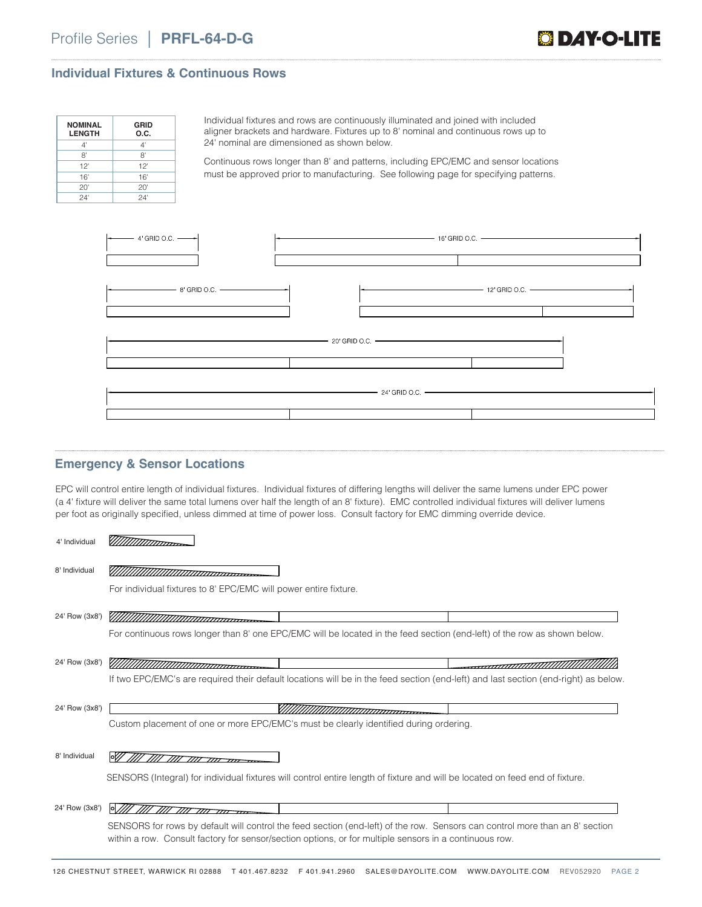

## **Individual Fixtures & Continuous Rows**

| <b>NOMINAL</b><br><b>LENGTH</b> | <b>GRID</b><br>O.C. |
|---------------------------------|---------------------|
| 4'                              | 4'                  |
| 8'                              | 8'                  |
| 12'                             | 12'                 |
| 16'                             | 16'                 |
| 20'                             | 20'                 |
| 24'                             | 24'                 |

Individual fixtures and rows are continuously illuminated and joined with included aligner brackets and hardware. Fixtures up to 8' nominal and continuous rows up to 24' nominal are dimensioned as shown below.

Continuous rows longer than 8' and patterns, including EPC/EMC and sensor locations must be approved prior to manufacturing. See following page for specifying patterns.



### **Emergency & Sensor Locations**

EPC will control entire length of individual fixtures. Individual fixtures of differing lengths will deliver the same lumens under EPC power (a 4' fixture will deliver the same total lumens over half the length of an 8' fixture). EMC controlled individual fixtures will deliver lumens per foot as originally specified, unless dimmed at time of power loss. Consult factory for EMC dimming override device.

| 4' Individual  |                                                                                                                                                            |
|----------------|------------------------------------------------------------------------------------------------------------------------------------------------------------|
| 8' Individual  |                                                                                                                                                            |
|                | For individual fixtures to 8' EPC/EMC will power entire fixture.                                                                                           |
| 24' Row (3x8') |                                                                                                                                                            |
|                | For continuous rows longer than 8' one EPC/EMC will be located in the feed section (end-left) of the row as shown below.                                   |
| 24' Row (3x8') | ,,,,,,, <del>,,,,,,,,,,,,,,,,,,,,,,,,,,</del><br><del>-------------------------------</del> --                                                             |
|                | If two EPC/EMC's are required their default locations will be in the feed section (end-left) and last section (end-right) as below.                        |
| 24' Row (3x8') |                                                                                                                                                            |
|                | Custom placement of one or more EPC/EMC's must be clearly identified during ordering.                                                                      |
|                |                                                                                                                                                            |
| 8' Individual  |                                                                                                                                                            |
|                | SENSORS (Integral) for individual fixtures will control entire length of fixture and will be located on feed end of fixture.                               |
| 24' Row (3x8') | <b>P</b>                                                                                                                                                   |
|                | <del>ת מוד זווד זווד</del><br>SENSORS for rows by default will control the feed section (end-left) of the row. Sensors can control more than an 8' section |
|                | within a row. Consult factory for sensor/section options, or for multiple sensors in a continuous row.                                                     |
|                |                                                                                                                                                            |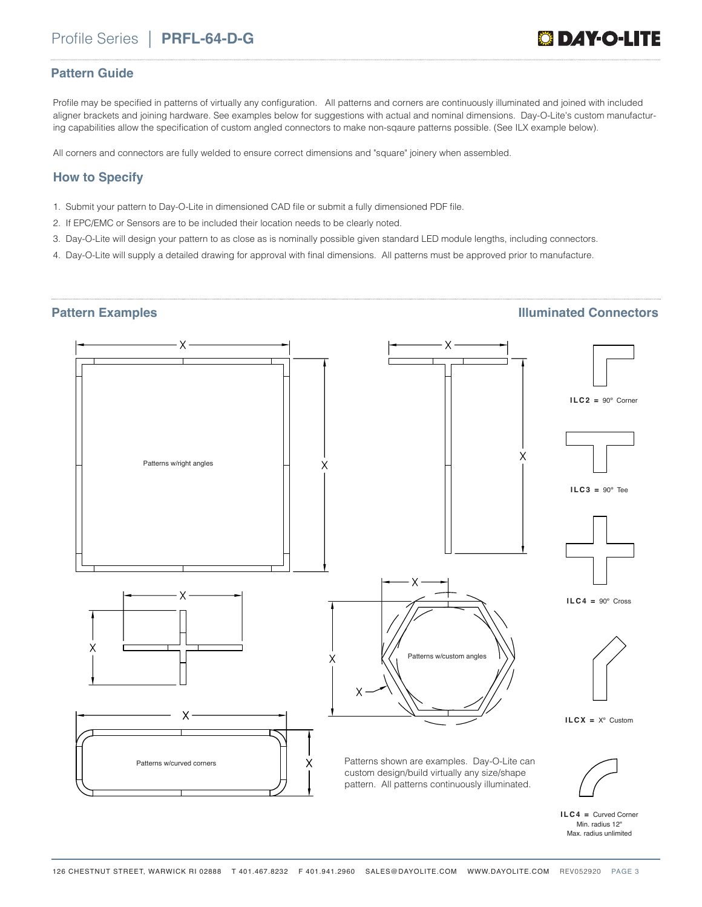## **Pattern Guide**

Profile may be specified in patterns of virtually any configuration. All patterns and corners are continuously illuminated and joined with included aligner brackets and joining hardware. See examples below for suggestions with actual and nominal dimensions. Day-O-Lite's custom manufacturing capabilities allow the specification of custom angled connectors to make non-sqaure patterns possible. (See ILX example below).

All corners and connectors are fully welded to ensure correct dimensions and "square" joinery when assembled.

## **How to Specify**

- 1. Submit your pattern to Day-O-Lite in dimensioned CAD file or submit a fully dimensioned PDF file.
- 2. If EPC/EMC or Sensors are to be included their location needs to be clearly noted.
- 3. Day-O-Lite will design your pattern to as close as is nominally possible given standard LED module lengths, including connectors.
- 4. Day-O-Lite will supply a detailed drawing for approval with final dimensions. All patterns must be approved prior to manufacture.

## **Pattern Examples Illuminated Connectors**



**ILC4 =** Curved Corner Min. radius 12" Max. radius unlimited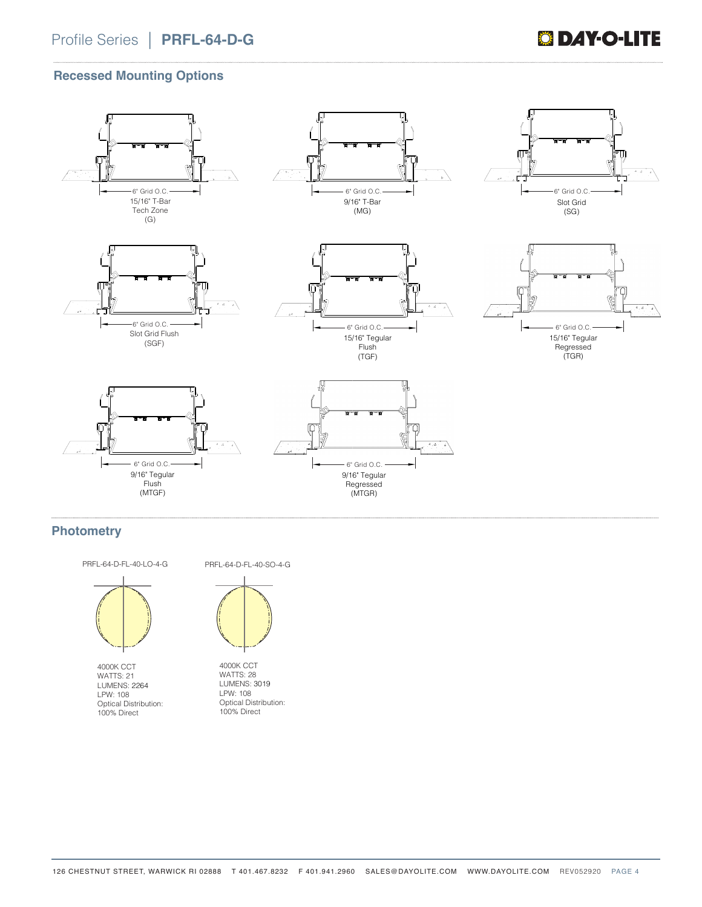## **Recessed Mounting Options**



## **Photometry**



PRFL-64-D-FL-40-LO-4-G

4000K CCT WATTS: 21 LUMENS: 2264 LPW: 108 Optical Distribution: 100% Direct

PRFL-64-D-FL-40-SO-4-G



4000K CCT WATTS: 28 LUMENS: 3019 LPW: 108 Optical Distribution: 100% Direct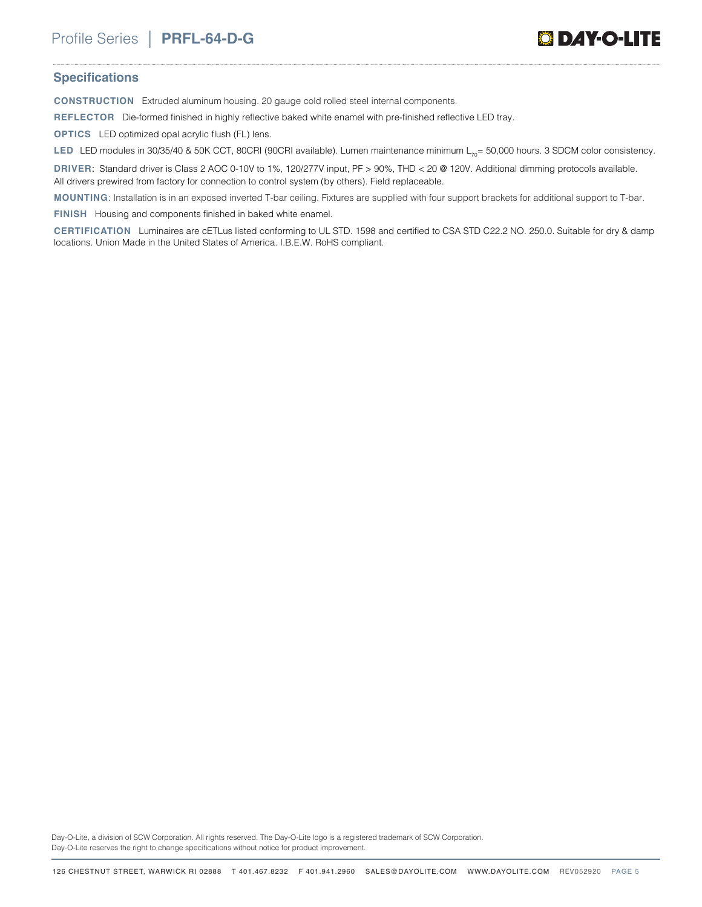

### **Specifications**

**CONSTRUCTION** Extruded aluminum housing. 20 gauge cold rolled steel internal components.

**REFLECTOR** Die-formed finished in highly reflective baked white enamel with pre-finished reflective LED tray.

**OPTICS** LED optimized opal acrylic flush (FL) lens.

LED LED modules in 30/35/40 & 50K CCT, 80CRI (90CRI available). Lumen maintenance minimum L<sub>70</sub>= 50,000 hours. 3 SDCM color consistency.

**DRIVER**: Standard driver is Class 2 AOC 0-10V to 1%, 120/277V input, PF > 90%, THD < 20 @ 120V. Additional dimming protocols available. All drivers prewired from factory for connection to control system (by others). Field replaceable.

**MOUNTING**: Installation is in an exposed inverted T-bar ceiling. Fixtures are supplied with four support brackets for additional support to T-bar.

**FINISH** Housing and components finished in baked white enamel.

**CERTIFICATION** Luminaires are cETLus listed conforming to UL STD. 1598 and certified to CSA STD C22.2 NO. 250.0. Suitable for dry & damp locations. Union Made in the United States of America. I.B.E.W. RoHS compliant.

Day-O-Lite, a division of SCW Corporation. All rights reserved. The Day-O-Lite logo is a registered trademark of SCW Corporation. Day-O-Lite reserves the right to change specifications without notice for product improvement.